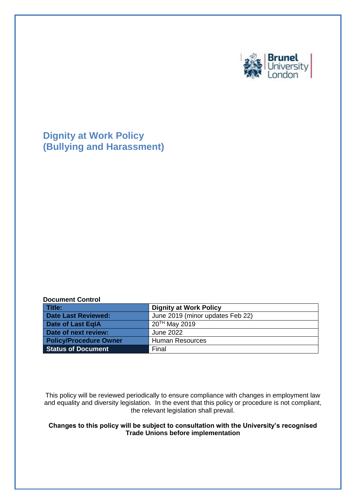

**Dignity at Work Policy (Bullying and Harassment)**

#### **Document Control**

| Title:                        | <b>Dignity at Work Policy</b>    |
|-------------------------------|----------------------------------|
| Date Last Reviewed:           | June 2019 (minor updates Feb 22) |
| Date of Last EqlA             | 20TH May 2019                    |
| Date of next review:          | June 2022                        |
| <b>Policy/Procedure Owner</b> | <b>Human Resources</b>           |
| <b>Status of Document</b>     | Final                            |

This policy will be reviewed periodically to ensure compliance with changes in employment law and equality and diversity legislation. In the event that this policy or procedure is not compliant, the relevant legislation shall prevail.

### **Changes to this policy will be subject to consultation with the University's recognised Trade Unions before implementation**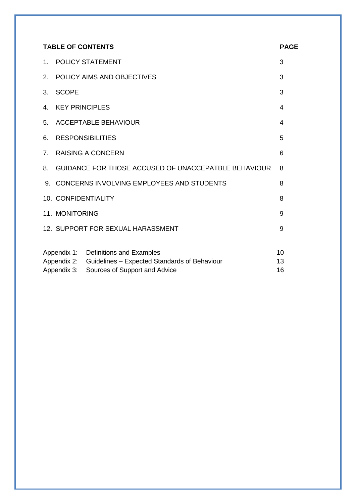| <b>TABLE OF CONTENTS</b>                                 |                                                      | <b>PAGE</b>                               |    |
|----------------------------------------------------------|------------------------------------------------------|-------------------------------------------|----|
| $1_{-}$                                                  | <b>POLICY STATEMENT</b>                              |                                           | 3  |
| 2.                                                       | POLICY AIMS AND OBJECTIVES                           |                                           |    |
| 3.                                                       | <b>SCOPE</b>                                         |                                           |    |
| 4.                                                       | <b>KEY PRINCIPLES</b>                                |                                           |    |
| 5.                                                       | <b>ACCEPTABLE BEHAVIOUR</b>                          |                                           | 4  |
| 6.                                                       | <b>RESPONSIBILITIES</b>                              |                                           | 5  |
| 7 <sub>1</sub>                                           | <b>RAISING A CONCERN</b>                             |                                           | 6  |
| 8.                                                       | GUIDANCE FOR THOSE ACCUSED OF UNACCEPATBLE BEHAVIOUR |                                           | 8  |
| 9.                                                       |                                                      | CONCERNS INVOLVING EMPLOYEES AND STUDENTS | 8  |
|                                                          | 10. CONFIDENTIALITY                                  |                                           | 8  |
|                                                          | 11. MONITORING                                       |                                           | 9  |
|                                                          | 12. SUPPORT FOR SEXUAL HARASSMENT                    |                                           | 9  |
|                                                          |                                                      |                                           |    |
|                                                          |                                                      | Appendix 1: Definitions and Examples      | 10 |
| Appendix 2: Guidelines - Expected Standards of Behaviour |                                                      | 13                                        |    |
| Appendix 3:<br>Sources of Support and Advice             |                                                      | 16                                        |    |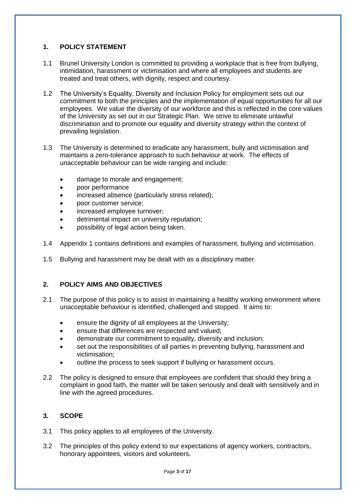## **1. POLICY STATEMENT**

- 1.1 Brunel University London is committed to providing a workplace that is free from bullying, intimidation, harassment or victimisation and where all employees and students are treated and treat others, with dignity, respect and courtesy.
- 1.2 The University's Equality, Diversity and Inclusion Policy for employment sets out our commitment to both the principles and the implementation of equal opportunities for all our employees. We value the diversity of our workforce and this is reflected in the core values of the University as set out in our Strategic Plan. We strive to eliminate unlawful discrimination and to promote our equality and diversity strategy within the context of prevailing legislation.
- 1.3 The University is determined to eradicate any harassment, bully and victimisation and maintains a zero-tolerance approach to such behaviour at work. The effects of unacceptable behaviour can be wide ranging and include:
	- damage to morale and engagement;
	- poor performance
	- increased absence (particularly stress related);
	- poor customer service;
	- increased employee turnover;
	- detrimental impact on university reputation;
	- possibility of legal action being taken.
- 1.4 Appendix 1 contains definitions and examples of harassment, bullying and victimisation.
- 1.5 Bullying and harassment may be dealt with as a disciplinary matter.

# **2. POLICY AIMS AND OBJECTIVES**

- 2.1 The purpose of this policy is to assist in maintaining a healthy working environment where unacceptable behaviour is identified, challenged and stopped. It aims to:
	- ensure the dignity of all employees at the University;
	- ensure that differences are respected and valued;
	- demonstrate our commitment to equality, diversity and inclusion;
	- set out the responsibilities of all parties in preventing bullying, harassment and victimisation;
	- outline the process to seek support if bullying or harassment occurs.
- 2.2 The policy is designed to ensure that employees are confident that should they bring a complaint in good faith, the matter will be taken seriously and dealt with sensitively and in line with the agreed procedures.

# **3. SCOPE**

- 3.1 This policy applies to all employees of the University.
- 3.2 The principles of this policy extend to our expectations of agency workers, contractors, honorary appointees, visitors and volunteers.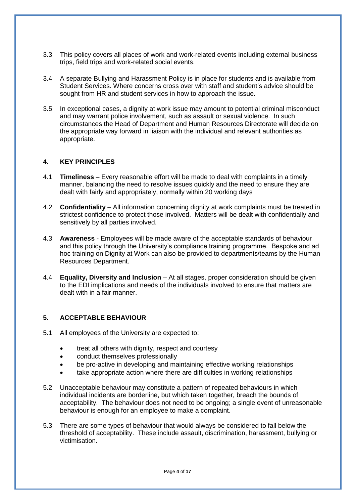- 3.3 This policy covers all places of work and work-related events including external business trips, field trips and work-related social events.
- 3.4 A separate Bullying and Harassment Policy is in place for students and is available from Student Services. Where concerns cross over with staff and student's advice should be sought from HR and student services in how to approach the issue.
- 3.5 In exceptional cases, a dignity at work issue may amount to potential criminal misconduct and may warrant police involvement, such as assault or sexual violence. In such circumstances the Head of Department and Human Resources Directorate will decide on the appropriate way forward in liaison with the individual and relevant authorities as appropriate.

### **4. KEY PRINCIPLES**

- 4.1 **Timeliness** Every reasonable effort will be made to deal with complaints in a timely manner, balancing the need to resolve issues quickly and the need to ensure they are dealt with fairly and appropriately, normally within 20 working days
- 4.2 **Confidentiality**  All information concerning dignity at work complaints must be treated in strictest confidence to protect those involved. Matters will be dealt with confidentially and sensitively by all parties involved.
- 4.3 **Awareness** Employees will be made aware of the acceptable standards of behaviour and this policy through the University's compliance training programme. Bespoke and ad hoc training on Dignity at Work can also be provided to departments/teams by the Human Resources Department.
- 4.4 **Equality, Diversity and Inclusion** At all stages, proper consideration should be given to the EDI implications and needs of the individuals involved to ensure that matters are dealt with in a fair manner.

### **5. ACCEPTABLE BEHAVIOUR**

- 5.1 All employees of the University are expected to:
	- treat all others with dignity, respect and courtesy
	- conduct themselves professionally
	- be pro-active in developing and maintaining effective working relationships
	- take appropriate action where there are difficulties in working relationships
- 5.2 Unacceptable behaviour may constitute a pattern of repeated behaviours in which individual incidents are borderline, but which taken together, breach the bounds of acceptability. The behaviour does not need to be ongoing; a single event of unreasonable behaviour is enough for an employee to make a complaint.
- 5.3 There are some types of behaviour that would always be considered to fall below the threshold of acceptability. These include assault, discrimination, harassment, bullying or victimisation.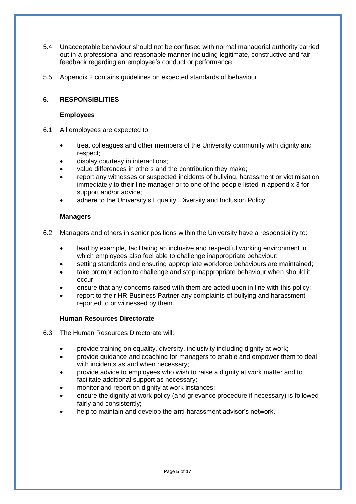- 5.4 Unacceptable behaviour should not be confused with normal managerial authority carried out in a professional and reasonable manner including legitimate, constructive and fair feedback regarding an employee's conduct or performance.
- 5.5 Appendix 2 contains guidelines on expected standards of behaviour.

## **6. RESPONSIBLITIES**

### **Employees**

- 6.1 All employees are expected to:
	- treat colleagues and other members of the University community with dignity and respect;
	- display courtesy in interactions;
	- value differences in others and the contribution they make;
	- report any witnesses or suspected incidents of bullying, harassment or victimisation immediately to their line manager or to one of the people listed in appendix 3 for support and/or advice;
	- adhere to the University's Equality, Diversity and Inclusion Policy.

### **Managers**

- 6.2 Managers and others in senior positions within the University have a responsibility to:
	- lead by example, facilitating an inclusive and respectful working environment in which employees also feel able to challenge inappropriate behaviour;
	- setting standards and ensuring appropriate workforce behaviours are maintained;
	- take prompt action to challenge and stop inappropriate behaviour when should it occur;
	- ensure that any concerns raised with them are acted upon in line with this policy;
	- report to their HR Business Partner any complaints of bullying and harassment reported to or witnessed by them.

### **Human Resources Directorate**

- 6.3 The Human Resources Directorate will:
	- provide training on equality, diversity, inclusivity including dignity at work;
	- provide guidance and coaching for managers to enable and empower them to deal with incidents as and when necessary;
	- provide advice to employees who wish to raise a dignity at work matter and to facilitate additional support as necessary;
	- monitor and report on dignity at work instances;
	- ensure the dignity at work policy (and grievance procedure if necessary) is followed fairly and consistently;
	- help to maintain and develop the anti-harassment advisor's network.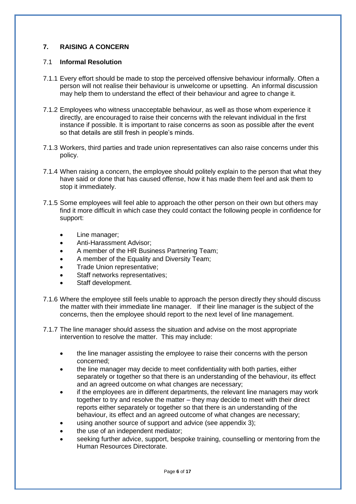# **7. RAISING A CONCERN**

### 7.1 **Informal Resolution**

- 7.1.1 Every effort should be made to stop the perceived offensive behaviour informally. Often a person will not realise their behaviour is unwelcome or upsetting. An informal discussion may help them to understand the effect of their behaviour and agree to change it.
- 7.1.2 Employees who witness unacceptable behaviour, as well as those whom experience it directly, are encouraged to raise their concerns with the relevant individual in the first instance if possible. It is important to raise concerns as soon as possible after the event so that details are still fresh in people's minds.
- 7.1.3 Workers, third parties and trade union representatives can also raise concerns under this policy.
- 7.1.4 When raising a concern, the employee should politely explain to the person that what they have said or done that has caused offense, how it has made them feel and ask them to stop it immediately.
- 7.1.5 Some employees will feel able to approach the other person on their own but others may find it more difficult in which case they could contact the following people in confidence for support:
	- Line manager;
	- Anti-Harassment Advisor;
	- A member of the HR Business Partnering Team;
	- A member of the Equality and Diversity Team;
	- Trade Union representative;
	- Staff networks representatives;
	- Staff development.
- 7.1.6 Where the employee still feels unable to approach the person directly they should discuss the matter with their immediate line manager. If their line manager is the subject of the concerns, then the employee should report to the next level of line management.
- 7.1.7 The line manager should assess the situation and advise on the most appropriate intervention to resolve the matter. This may include:
	- the line manager assisting the employee to raise their concerns with the person concerned;
	- the line manager may decide to meet confidentiality with both parties, either separately or together so that there is an understanding of the behaviour, its effect and an agreed outcome on what changes are necessary;
	- if the employees are in different departments, the relevant line managers may work together to try and resolve the matter – they may decide to meet with their direct reports either separately or together so that there is an understanding of the behaviour, its effect and an agreed outcome of what changes are necessary;
	- using another source of support and advice (see appendix 3);
	- the use of an independent mediator;
	- seeking further advice, support, bespoke training, counselling or mentoring from the Human Resources Directorate.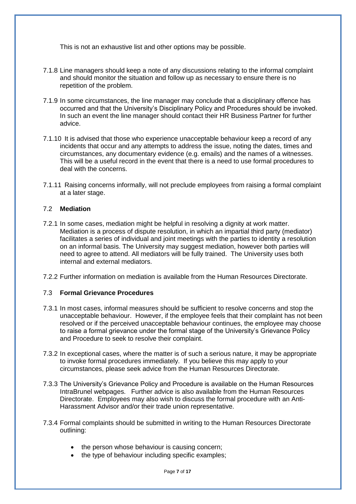This is not an exhaustive list and other options may be possible.

- 7.1.8 Line managers should keep a note of any discussions relating to the informal complaint and should monitor the situation and follow up as necessary to ensure there is no repetition of the problem.
- 7.1.9 In some circumstances, the line manager may conclude that a disciplinary offence has occurred and that the University's Disciplinary Policy and Procedures should be invoked. In such an event the line manager should contact their HR Business Partner for further advice.
- 7.1.10 It is advised that those who experience unacceptable behaviour keep a record of any incidents that occur and any attempts to address the issue, noting the dates, times and circumstances, any documentary evidence (e.g. emails) and the names of a witnesses. This will be a useful record in the event that there is a need to use formal procedures to deal with the concerns.
- 7.1.11 Raising concerns informally, will not preclude employees from raising a formal complaint at a later stage.

### 7.2 **Mediation**

7.2.1 In some cases, mediation might be helpful in resolving a dignity at work matter. Mediation is a process of dispute resolution, in which an impartial third party (mediator) facilitates a series of individual and joint meetings with the parties to identity a resolution on an informal basis. The University may suggest mediation, however both parties will need to agree to attend. All mediators will be fully trained. The University uses both internal and external mediators.

7.2.2 Further information on mediation is available from the Human Resources Directorate.

### 7.3 **Formal Grievance Procedures**

- 7.3.1 In most cases, informal measures should be sufficient to resolve concerns and stop the unacceptable behaviour. However, if the employee feels that their complaint has not been resolved or if the perceived unacceptable behaviour continues, the employee may choose to raise a formal grievance under the formal stage of the University's Grievance Policy and Procedure to seek to resolve their complaint.
- 7.3.2 In exceptional cases, where the matter is of such a serious nature, it may be appropriate to invoke formal procedures immediately. If you believe this may apply to your circumstances, please seek advice from the Human Resources Directorate.
- 7.3.3 The University's Grievance Policy and Procedure is available on the Human Resources IntraBrunel webpages. Further advice is also available from the Human Resources Directorate. Employees may also wish to discuss the formal procedure with an Anti-Harassment Advisor and/or their trade union representative.
- 7.3.4 Formal complaints should be submitted in writing to the Human Resources Directorate outlining:
	- the person whose behaviour is causing concern;
	- the type of behaviour including specific examples;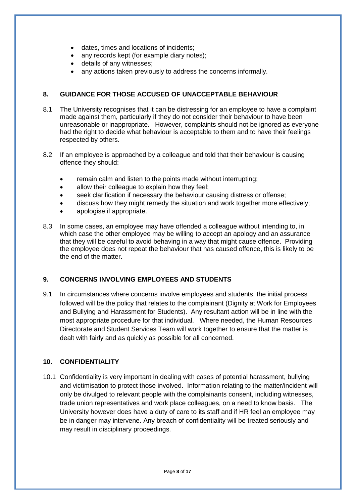- dates, times and locations of incidents;
- any records kept (for example diary notes);
- details of any witnesses;
- any actions taken previously to address the concerns informally.

# **8. GUIDANCE FOR THOSE ACCUSED OF UNACCEPTABLE BEHAVIOUR**

- 8.1 The University recognises that it can be distressing for an employee to have a complaint made against them, particularly if they do not consider their behaviour to have been unreasonable or inappropriate. However, complaints should not be ignored as everyone had the right to decide what behaviour is acceptable to them and to have their feelings respected by others.
- 8.2 If an employee is approached by a colleague and told that their behaviour is causing offence they should:
	- remain calm and listen to the points made without interrupting;
	- allow their colleague to explain how they feel;
	- seek clarification if necessary the behaviour causing distress or offense;
	- discuss how they might remedy the situation and work together more effectively;
	- apologise if appropriate.
- 8.3 In some cases, an employee may have offended a colleague without intending to, in which case the other employee may be willing to accept an apology and an assurance that they will be careful to avoid behaving in a way that might cause offence. Providing the employee does not repeat the behaviour that has caused offence, this is likely to be the end of the matter.

# **9. CONCERNS INVOLVING EMPLOYEES AND STUDENTS**

9.1 In circumstances where concerns involve employees and students, the initial process followed will be the policy that relates to the complainant (Dignity at Work for Employees and Bullying and Harassment for Students). Any resultant action will be in line with the most appropriate procedure for that individual. Where needed, the Human Resources Directorate and Student Services Team will work together to ensure that the matter is dealt with fairly and as quickly as possible for all concerned.

# **10. CONFIDENTIALITY**

10.1 Confidentiality is very important in dealing with cases of potential harassment, bullying and victimisation to protect those involved. Information relating to the matter/incident will only be divulged to relevant people with the complainants consent, including witnesses, trade union representatives and work place colleagues, on a need to know basis. The University however does have a duty of care to its staff and if HR feel an employee may be in danger may intervene. Any breach of confidentiality will be treated seriously and may result in disciplinary proceedings.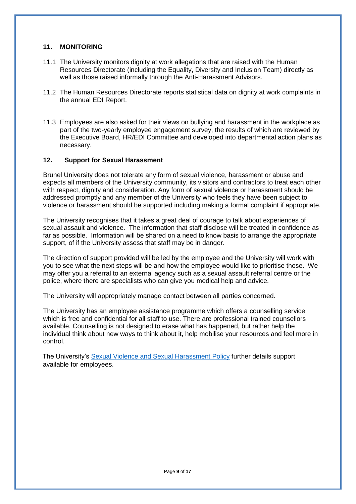### **11. MONITORING**

- 11.1 The University monitors dignity at work allegations that are raised with the Human Resources Directorate (including the Equality, Diversity and Inclusion Team) directly as well as those raised informally through the Anti-Harassment Advisors.
- 11.2 The Human Resources Directorate reports statistical data on dignity at work complaints in the annual EDI Report.
- 11.3 Employees are also asked for their views on bullying and harassment in the workplace as part of the two-yearly employee engagement survey, the results of which are reviewed by the Executive Board, HR/EDI Committee and developed into departmental action plans as necessary.

### **12. Support for Sexual Harassment**

Brunel University does not tolerate any form of sexual violence, harassment or abuse and expects all members of the University community, its visitors and contractors to treat each other with respect, dignity and consideration. Any form of sexual violence or harassment should be addressed promptly and any member of the University who feels they have been subject to violence or harassment should be supported including making a formal complaint if appropriate.

The University recognises that it takes a great deal of courage to talk about experiences of sexual assault and violence. The information that staff disclose will be treated in confidence as far as possible. Information will be shared on a need to know basis to arrange the appropriate support, of if the University assess that staff may be in danger.

The direction of support provided will be led by the employee and the University will work with you to see what the next steps will be and how the employee would like to prioritise those. We may offer you a referral to an external agency such as a sexual assault referral centre or the police, where there are specialists who can give you medical help and advice.

The University will appropriately manage contact between all parties concerned.

The University has an employee assistance programme which offers a counselling service which is free and confidential for all staff to use. There are professional trained counsellors available. Counselling is not designed to erase what has happened, but rather help the individual think about new ways to think about it, help mobilise your resources and feel more in control.

The University's [Sexual Violence and Sexual Harassment Policy](https://www.brunel.ac.uk/about/administration/policy?id=52585b3f-4799-4402-97c3-98348cd0c463) further details support available for employees.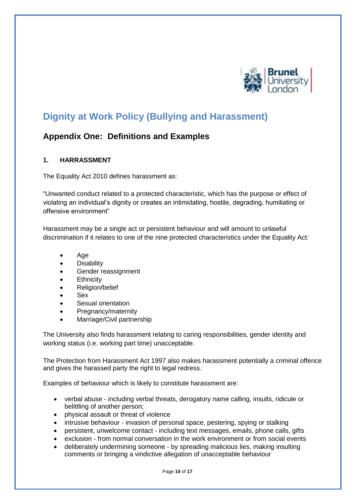

# **Dignity at Work Policy (Bullying and Harassment)**

# **Appendix One: Definitions and Examples**

# **1. HARRASSMENT**

The Equality Act 2010 defines harassment as:

"Unwanted conduct related to a protected characteristic, which has the purpose or effect of violating an individual's dignity or creates an intimidating, hostile, degrading, humiliating or offensive environment"

Harassment may be a single act or persistent behaviour and will amount to unlawful discrimination if it relates to one of the nine protected characteristics under the Equality Act:

- Age
- Disability
- Gender reassignment
- **Ethnicity**
- Religion/belief
- Sex
- Sexual orientation
- Pregnancy/maternity
- Marriage/Civil partnership

The University also finds harassment relating to caring responsibilities, gender identity and working status (i.e. working part time) unacceptable.

The Protection from Harassment Act 1997 also makes harassment potentially a criminal offence and gives the harassed party the right to legal redress.

Examples of behaviour which is likely to constitute harassment are:

- verbal abuse including verbal threats, derogatory name calling, insults, ridicule or belittling of another person;
- physical assault or threat of violence
- intrusive behaviour invasion of personal space, pestering, spying or stalking
- persistent, unwelcome contact including text messages, emails, phone calls, gifts
- exclusion from normal conversation in the work environment or from social events
- deliberately undermining someone by spreading malicious lies, making insulting comments or bringing a vindictive allegation of unacceptable behaviour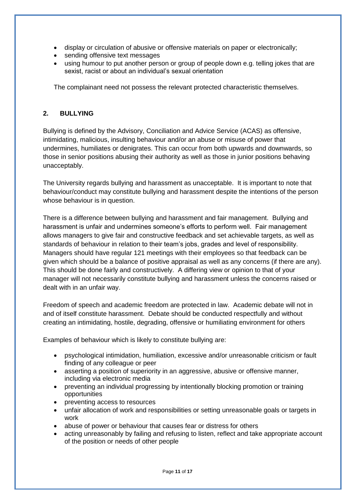- display or circulation of abusive or offensive materials on paper or electronically;
- sending offensive text messages
- using humour to put another person or group of people down e.g. telling jokes that are sexist, racist or about an individual's sexual orientation

The complainant need not possess the relevant protected characteristic themselves.

# **2. BULLYING**

Bullying is defined by the Advisory, Conciliation and Advice Service (ACAS) as offensive, intimidating, malicious, insulting behaviour and/or an abuse or misuse of power that undermines, humiliates or denigrates. This can occur from both upwards and downwards, so those in senior positions abusing their authority as well as those in junior positions behaving unacceptably.

The University regards bullying and harassment as unacceptable. It is important to note that behaviour/conduct may constitute bullying and harassment despite the intentions of the person whose behaviour is in question.

There is a difference between bullying and harassment and fair management. Bullying and harassment is unfair and undermines someone's efforts to perform well. Fair management allows managers to give fair and constructive feedback and set achievable targets, as well as standards of behaviour in relation to their team's jobs, grades and level of responsibility. Managers should have regular 121 meetings with their employees so that feedback can be given which should be a balance of positive appraisal as well as any concerns (if there are any). This should be done fairly and constructively. A differing view or opinion to that of your manager will not necessarily constitute bullying and harassment unless the concerns raised or dealt with in an unfair way.

Freedom of speech and academic freedom are protected in law. Academic debate will not in and of itself constitute harassment. Debate should be conducted respectfully and without creating an intimidating, hostile, degrading, offensive or humiliating environment for others

Examples of behaviour which is likely to constitute bullying are:

- psychological intimidation, humiliation, excessive and/or unreasonable criticism or fault finding of any colleague or peer
- asserting a position of superiority in an aggressive, abusive or offensive manner, including via electronic media
- preventing an individual progressing by intentionally blocking promotion or training opportunities
- preventing access to resources
- unfair allocation of work and responsibilities or setting unreasonable goals or targets in work
- abuse of power or behaviour that causes fear or distress for others
- acting unreasonably by failing and refusing to listen, reflect and take appropriate account of the position or needs of other people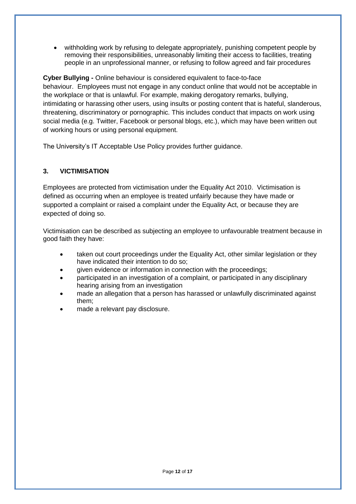• withholding work by refusing to delegate appropriately, punishing competent people by removing their responsibilities, unreasonably limiting their access to facilities, treating people in an unprofessional manner, or refusing to follow agreed and fair procedures

**Cyber Bullying -** Online behaviour is considered equivalent to face-to-face behaviour. Employees must not engage in any conduct online that would not be acceptable in the workplace or that is unlawful. For example, making derogatory remarks, bullying, intimidating or harassing other users, using insults or posting content that is hateful, slanderous, threatening, discriminatory or pornographic. This includes conduct that impacts on work using social media (e.g. Twitter, Facebook or personal blogs, etc.), which may have been written out of working hours or using personal equipment.

The University's IT Acceptable Use Policy provides further guidance.

# **3. VICTIMISATION**

Employees are protected from victimisation under the Equality Act 2010. Victimisation is defined as occurring when an employee is treated unfairly because they have made or supported a complaint or raised a complaint under the Equality Act, or because they are expected of doing so.

Victimisation can be described as subjecting an employee to unfavourable treatment because in good faith they have:

- taken out court proceedings under the Equality Act, other similar legislation or they have indicated their intention to do so;
- given evidence or information in connection with the proceedings;
- participated in an investigation of a complaint, or participated in any disciplinary hearing arising from an investigation
- made an allegation that a person has harassed or unlawfully discriminated against them;
- made a relevant pay disclosure.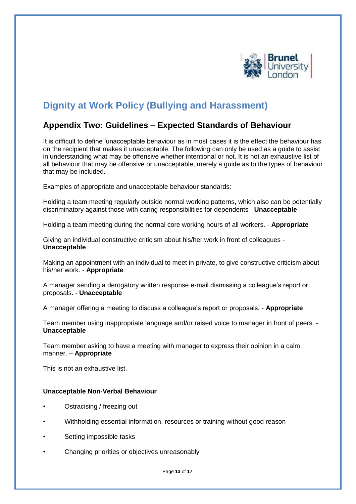

# **Dignity at Work Policy (Bullying and Harassment)**

# **Appendix Two: Guidelines – Expected Standards of Behaviour**

It is difficult to define 'unacceptable behaviour as in most cases it is the effect the behaviour has on the recipient that makes it unacceptable. The following can only be used as a guide to assist in understanding what may be offensive whether intentional or not. It is not an exhaustive list of all behaviour that may be offensive or unacceptable, merely a guide as to the types of behaviour that may be included.

Examples of appropriate and unacceptable behaviour standards:

Holding a team meeting regularly outside normal working patterns, which also can be potentially discriminatory against those with caring responsibilities for dependents - **Unacceptable**

Holding a team meeting during the normal core working hours of all workers. - **Appropriate**

Giving an individual constructive criticism about his/her work in front of colleagues - **Unacceptable**

Making an appointment with an individual to meet in private, to give constructive criticism about his/her work. - **Appropriate**

A manager sending a derogatory written response e-mail dismissing a colleague's report or proposals. - **Unacceptable**

A manager offering a meeting to discuss a colleague's report or proposals. - **Appropriate**

Team member using inappropriate language and/or raised voice to manager in front of peers. - **Unacceptable**

Team member asking to have a meeting with manager to express their opinion in a calm manner. – **Appropriate**

This is not an exhaustive list.

### **Unacceptable Non-Verbal Behaviour**

- Ostracising / freezing out
- Withholding essential information, resources or training without good reason
- Setting impossible tasks
- Changing priorities or objectives unreasonably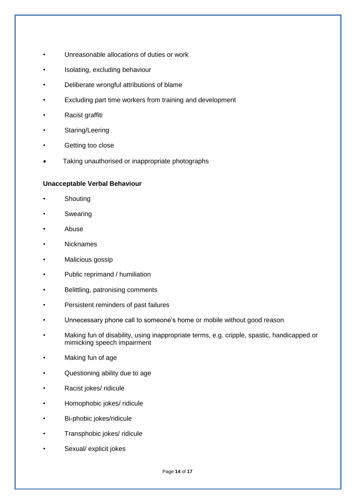- Unreasonable allocations of duties or work
- Isolating, excluding behaviour
- Deliberate wrongful attributions of blame
- Excluding part time workers from training and development
- Racist graffiti
- Staring/Leering
- Getting too close
- Taking unauthorised or inappropriate photographs

### **Unacceptable Verbal Behaviour**

- **Shouting**
- **Swearing**
- Abuse
- **Nicknames**
- Malicious gossip
- Public reprimand / humiliation
- Belittling, patronising comments
- Persistent reminders of past failures
- Unnecessary phone call to someone's home or mobile without good reason
- Making fun of disability, using inappropriate terms, e.g. cripple, spastic, handicapped or mimicking speech impairment
- Making fun of age
- Questioning ability due to age
- Racist jokes/ ridicule
- Homophobic jokes/ ridicule
- Bi-phobic jokes/ridicule
- Transphobic jokes/ ridicule
- Sexual/ explicit jokes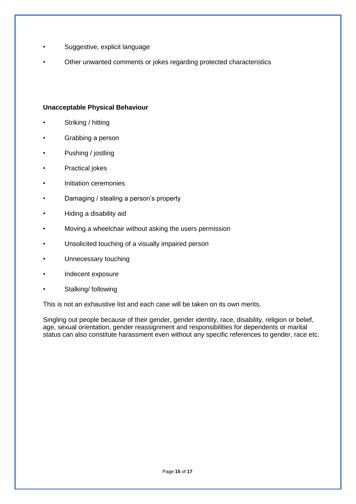- Suggestive, explicit language
- Other unwanted comments or jokes regarding protected characteristics

### **Unacceptable Physical Behaviour**

- Striking / hitting
- Grabbing a person
- Pushing / jostling
- Practical jokes
- Initiation ceremonies
- Damaging / stealing a person's property
- Hiding a disability aid
- Moving a wheelchair without asking the users permission
- Unsolicited touching of a visually impaired person
- Unnecessary touching
- Indecent exposure
- Stalking/ following

This is not an exhaustive list and each case will be taken on its own merits.

Singling out people because of their gender, gender identity, race, disability, religion or belief, age, sexual orientation, gender reassignment and responsibilities for dependents or marital status can also constitute harassment even without any specific references to gender, race etc.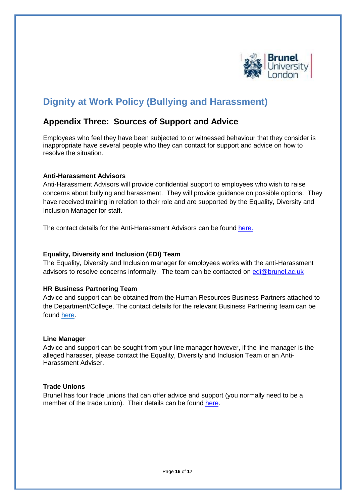

# **Dignity at Work Policy (Bullying and Harassment)**

# **Appendix Three: Sources of Support and Advice**

Employees who feel they have been subjected to or witnessed behaviour that they consider is inappropriate have several people who they can contact for support and advice on how to resolve the situation.

### **Anti-Harassment Advisors**

Anti-Harassment Advisors will provide confidential support to employees who wish to raise concerns about bullying and harassment. They will provide guidance on possible options. They have received training in relation to their role and are supported by the Equality, Diversity and Inclusion Manager for staff.

The contact details for the Anti-Harassment Advisors can be found [here.](https://staff.brunel.ac.uk/directorates/hr/valuing-you-equality-diversity-and-inclusion/dignity-at-work)

### **Equality, Diversity and Inclusion (EDI) Team**

The Equality, Diversity and Inclusion manager for employees works with the anti-Harassment advisors to resolve concerns informally. The team can be contacted on [edi@brunel.ac.uk](mailto:edi@brunel.ac.uk)

# **HR Business Partnering Team**

Advice and support can be obtained from the Human Resources Business Partners attached to the Department/College. The contact details for the relevant Business Partnering team can be found [here.](https://staff.brunel.ac.uk/directorates/hr/about-hr)

### **Line Manager**

Advice and support can be sought from your line manager however, if the line manager is the alleged harasser, please contact the Equality, Diversity and Inclusion Team or an Anti-Harassment Adviser.

### **Trade Unions**

Brunel has four trade unions that can offer advice and support (you normally need to be a member of the trade union). Their details can be found [here.](https://intra.brunel.ac.uk/Pages/trade-unions.aspx)